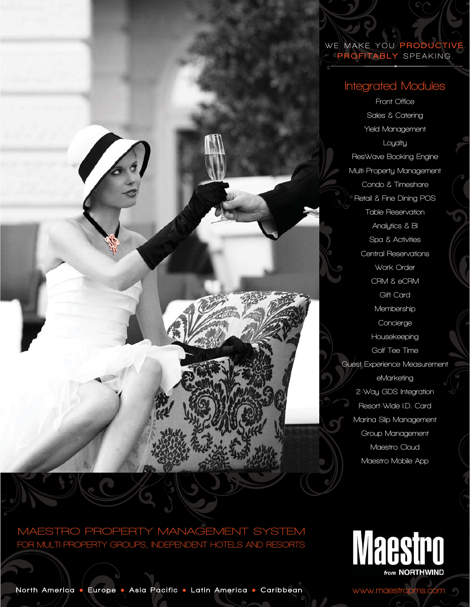### **WE MAKE YOU** PRODUCTIVE **.** PROFITABLY **SPEAKING.**

## **Integrated Modules**

**Front Office Sales & Catering Yield Management Loyalty ResWave Booking Engine Multi-Property Management Condo & Timeshare Retail & Fine Dining POS Table Reservation Analytics & BI Spa & Activities Central Reservations Work Order CRM & eCRM Gift Card Membership Concierge Housekeeping Golf Tee Time Guest Experience Measurement eMarketing 2-Way GDS Integration Resort-Wide I.D. Card Marina Slip Management Group Management Maestro Cloud Maestro Mobile App**

## **MAESTRO PROPERTY MANAGEMENT SYSTEM FOR MULTI-PROPERTY GROUPS, INDEPENDENT HOTELS AND RESORTS**



**www.maestropms.com**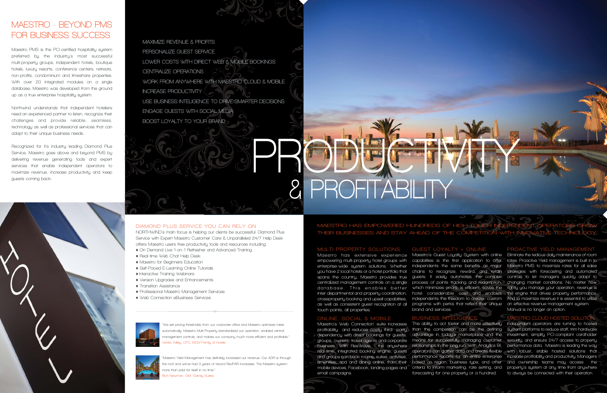# **MAESTRO - BEYOND PMSFOR BUSINESS SUCCESS**

**Maestro PMS is the PCI-certified hospitality system preferred by the industry's most successful multi-property groups, independent hotels, boutique hotels, luxury resorts, conference centers, retreats, non-profits, condominium and timeshare properties. With over 20 integrated modules on a single database, Maestro was developed from the ground up as a true enterprise hospitality system.**

**Northwind understands that independent hoteliers need an experienced partner to listen, recognize their challenges and provide reliable, seamless, technology as well as professional services that can adapt to their unique business needs.**

**Recognized for it's industry leading Diamond Plus Service, Maestro goes above and beyond PMS by delivering revenue generating tools and expert services that enable independent operators to maximize revenue, increase productivity and keep guests coming back.**



#### **DIAMOND PLUS SERVICE YOU CAN RELY ON**

**NORTHWIND's main focus is helping our clients be successful. Diamond Plus Service with Expert Maestro Customer Care & Unparalleled 24/7 Help Desk offers Maestro users free productivity tools and resources including:**

- ♦ **On Demand Live 1-on-1 Refresher and Advanced Training**
- ♦ **Real-time Web Chat Help Desk**
- ♦ **Maestro for Beginners Education**
- ♦ **Self-Paced E-Learning Online Tutorials**
- ♦ **Interactive Training Webinars**
- ♦ **Version Upgrades and Enhancements**
- ♦ **Transition Assistance**
- ♦ **Professional Maestro Management Services**
- ♦ **Web Connection eBusiness Services**



**"We set pricing thresholds from our corporate office and Maestro optimizes rates automatically. Maestro Multi-Property standardized our operation, enabled central management controls, and makes our company much more efficient and profitable." Venita Yelley, CFO, MCM Family of Hotels**



**"Maestro Yield Management has definitely increased our revenue. Our ADR is through the roof and we've had 3 years of record RevPAR increases. The Maestro system more than paid for itself in no time." Rich Newman, GM, Gainey Suites**

### **MAESTRO HAS EMPOWERED HUNDREDS THEIR BUSINESSES AND STAY AHEAD OF THE COMPETITION WITH INN**

**PRODUCTIVITY** 

**MAXIMIZE REVENUE & PROFITSPERSONALIZE GUEST SERVICE LOWER COSTS WITH DIRECT WEB & MOBILE BOOKINGSCENTRALIZE OPERATIONS WORK FROM ANYWHERE WITH MAESTRO CLOUD & MOBILE INCREASE PRODUCTIVITYUSE BUSINESS INTELIGENCE TO DRIVE SMARTER DECISIONSENGAGE GUESTS WITH SOCIAL MEDIABOOST LOYALTY TO YOUR BRAND** 

#### **MULTI-PROPERTY SOLUTIONS**

**& PROFITABIL** 

 **Maest ro has extens ive expe <sup>r</sup> ience Maestro's Guest Loyalty System with online Eliminate the tedious daily maintenance of room**  database. This enables better which minimizeserrors, is efficient, saves the **inter-departmental and property coordination, crossproperty booking and upsell capabilities, as well as consistent guest recognition at all programs with perks that reflect their unique an effective revenue management system. touch points, all properties.**

#### **ONLINE, SOCIAL & MOBILE**

**dependency with direct bookings for guests, email campaigns.** 

### **GUEST LOYALTY + ONLINE**

**empowering multi-property hotel groups with capabilities is the first application to offer rates. Proactive Yield management is built in to**  enterprise-wide system solutions. Whether independents the same benefits as major Maestro PMS to maximize rates for all sales **you have 2 local hotels or a hotel portfolio that chains to recognize, reward, and retain strategies with forecasting and automated spans the country, Maestro provides true guests. It easily automates the complex controls to let managers quickly adapt to centralized management controls on a single process of points tracking and redemption, changing market conditions. No matter how hotel considerable cost and enables the engine that drives property performance. independents the freedom to create custom And to maximize revenue it is essential to utilize tightly you manage your operation, revenue is Manual is no longer an option.**

**brand and services.**

### **BUSINESS INTELIGENCE**

**Maestro's Web Connection' suite increases The ability to act faster and more effectively Independent operators are turning to hosted profitability and reduces costly third party than the competition can be the defining system platforms to reduce staff, trim hardware groups, owners, travel agents and corporate means for successfully managing customer security, and ensure 24/7 access to property business. With ResWave, the anywhere relationships in the long run. With Analytics BI, performance data. Maestro is leading the way real-time, integrated booking engine, guests operators can gather data and create flexible with robust, stable hosted solutions that and groups can book rooms, suites, activities, performance reports for an entire enterprise increase profitability and productivity. Managers amenities, spa and dining online, from their based on region, business type, and other and ownership teams may access the mobile devices, Facebook, landing pages and criteria to inform marketing, rate setting, and property's system at any time from anywhere advantage in today's marketplace and the investment, simplify PCI-compliant cardholder forecasting for one property or a hundred. to always be connected with their operation.** 

#### **PROACTIVE YIELD MANAGEMENT**

#### **MAESTRO CLOUD HOSTED SOLUTION**